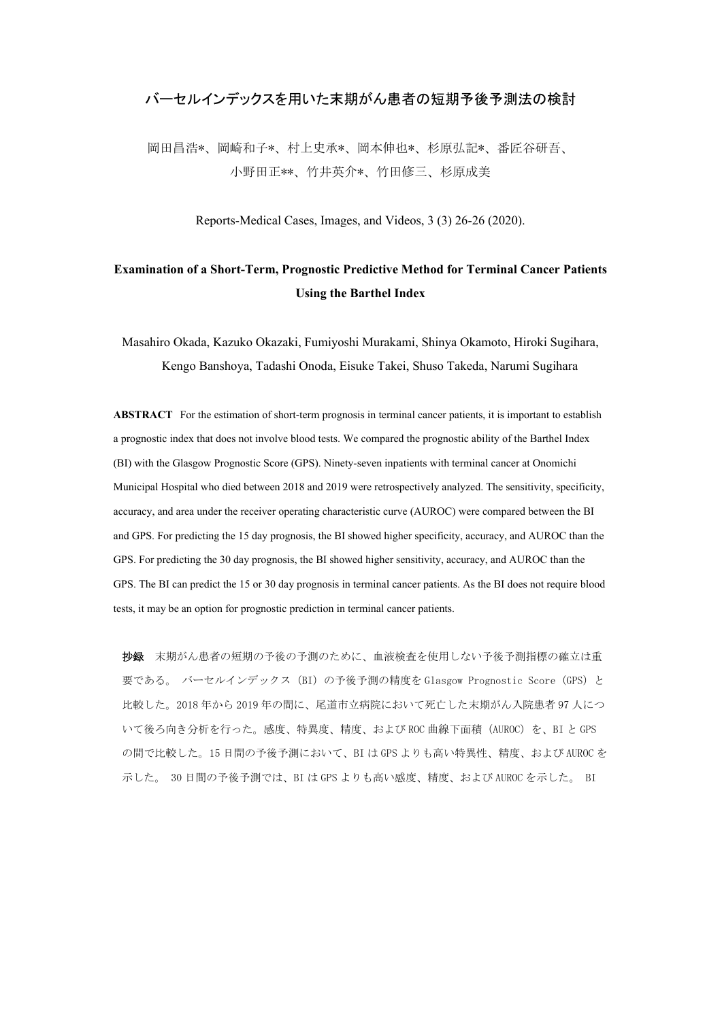## バーセルインデックスを用いた末期がん患者の短期予後予測法の検討

岡田昌浩\*、岡崎和子\*、村上史承\*、岡本伸也\*、杉原弘記\*、番匠谷研吾、 小野田正\*\*、竹井英介\*、竹田修三、杉原成美

Reports-Medical Cases, Images, and Videos, 3 (3) 26-26 (2020).

## **Examination of a Short-Term, Prognostic Predictive Method for Terminal Cancer Patients Using the Barthel Index**

Masahiro Okada, Kazuko Okazaki, Fumiyoshi Murakami, Shinya Okamoto, Hiroki Sugihara, Kengo Banshoya, Tadashi Onoda, Eisuke Takei, Shuso Takeda, Narumi Sugihara

**ABSTRACT** For the estimation of short-term prognosis in terminal cancer patients, it is important to establish a prognostic index that does not involve blood tests. We compared the prognostic ability of the Barthel Index (BI) with the Glasgow Prognostic Score (GPS). Ninety-seven inpatients with terminal cancer at Onomichi Municipal Hospital who died between 2018 and 2019 were retrospectively analyzed. The sensitivity, specificity, accuracy, and area under the receiver operating characteristic curve (AUROC) were compared between the BI and GPS. For predicting the 15 day prognosis, the BI showed higher specificity, accuracy, and AUROC than the GPS. For predicting the 30 day prognosis, the BI showed higher sensitivity, accuracy, and AUROC than the GPS. The BI can predict the 15 or 30 day prognosis in terminal cancer patients. As the BI does not require blood tests, it may be an option for prognostic prediction in terminal cancer patients.

抄録 末期がん患者の短期の予後の予測のために、血液検査を使用しない予後予測指標の確立は重 要である。 バーセルインデックス (BI) の予後予測の精度を Glasgow Prognostic Score (GPS) と 比較した。2018 年から 2019 年の間に、尾道市立病院において死亡した末期がん入院患者 97 人につ いて後ろ向き分析を行った。感度、特異度、精度、および ROC 曲線下面積 (AUROC) を、BI と GPS の間で比較した。15 日間の予後予測において、BI は GPS よりも高い特異性、精度、および AUROC を 示した。 30 日間の予後予測では、BI は GPS よりも高い感度、精度、および AUROC を示した。 BI